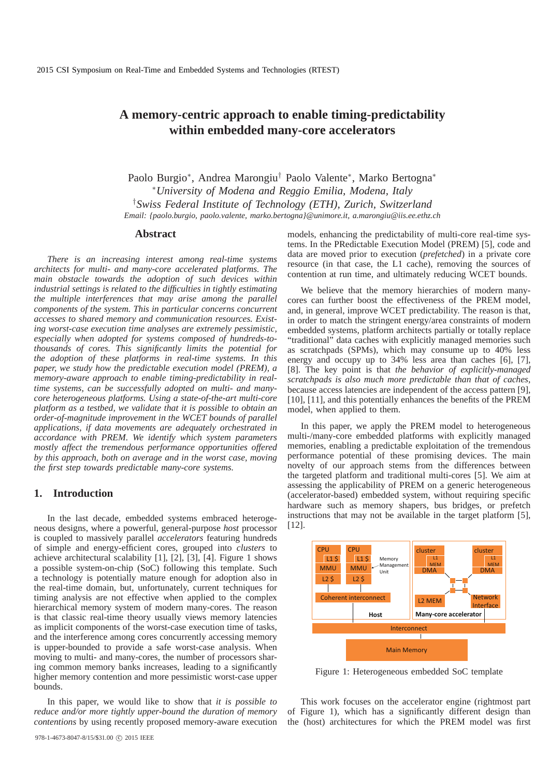# **A memory-centric approach to enable timing-predictability within embedded many-core accelerators**

Paolo Burgio<sup>∗</sup> , Andrea Marongiu† Paolo Valente<sup>∗</sup> , Marko Bertogna<sup>∗</sup> <sup>∗</sup>*University of Modena and Reggio Emilia, Modena, Italy* †*Swiss Federal Institute of Technology (ETH), Zurich, Switzerland Email: {paolo.burgio, paolo.valente, marko.bertogna}@unimore.it, a.marongiu@iis.ee.ethz.ch*

#### **Abstract**

*There is an increasing interest among real-time systems architects for multi- and many-core accelerated platforms. The main obstacle towards the adoption of such devices within industrial settings is related to the difficulties in tightly estimating the multiple interferences that may arise among the parallel components of the system. This in particular concerns concurrent accesses to shared memory and communication resources. Existing worst-case execution time analyses are extremely pessimistic, especially when adopted for systems composed of hundreds-tothousands of cores. This significantly limits the potential for the adoption of these platforms in real-time systems. In this paper, we study how the predictable execution model (PREM), a memory-aware approach to enable timing-predictability in realtime systems, can be successfully adopted on multi- and manycore heterogeneous platforms. Using a state-of-the-art multi-core platform as a testbed, we validate that it is possible to obtain an order-of-magnitude improvement in the WCET bounds of parallel applications, if data movements are adequately orchestrated in accordance with PREM. We identify which system parameters mostly affect the tremendous performance opportunities offered by this approach, both on average and in the worst case, moving the first step towards predictable many-core systems.*

## **1. Introduction**

In the last decade, embedded systems embraced heterogeneous designs, where a powerful, general-purpose *host* processor is coupled to massively parallel *accelerators* featuring hundreds of simple and energy-efficient cores, grouped into *clusters* to achieve architectural scalability [1], [2], [3], [4]. Figure 1 shows a possible system-on-chip (SoC) following this template. Such a technology is potentially mature enough for adoption also in the real-time domain, but, unfortunately, current techniques for timing analysis are not effective when applied to the complex hierarchical memory system of modern many-cores. The reason is that classic real-time theory usually views memory latencies as implicit components of the worst-case execution time of tasks, and the interference among cores concurrently accessing memory is upper-bounded to provide a safe worst-case analysis. When moving to multi- and many-cores, the number of processors sharing common memory banks increases, leading to a significantly higher memory contention and more pessimistic worst-case upper bounds.

In this paper, we would like to show that *it is possible to reduce and/or more tightly upper-bound the duration of memory contentions* by using recently proposed memory-aware execution models, enhancing the predictability of multi-core real-time systems. In the PRedictable Execution Model (PREM) [5], code and data are moved prior to execution (*prefetched*) in a private core resource (in that case, the L1 cache), removing the sources of contention at run time, and ultimately reducing WCET bounds.

We believe that the memory hierarchies of modern manycores can further boost the effectiveness of the PREM model, and, in general, improve WCET predictability. The reason is that, in order to match the stringent energy/area constraints of modern embedded systems, platform architects partially or totally replace "traditional" data caches with explicitly managed memories such as scratchpads (SPMs), which may consume up to 40% less energy and occupy up to 34% less area than caches [6], [7], [8]. The key point is that *the behavior of explicitly-managed scratchpads is also much more predictable than that of caches*, because access latencies are independent of the access pattern [9], [10], [11], and this potentially enhances the benefits of the PREM model, when applied to them.

In this paper, we apply the PREM model to heterogeneous multi-/many-core embedded platforms with explicitly managed memories, enabling a predictable exploitation of the tremendous performance potential of these promising devices. The main novelty of our approach stems from the differences between the targeted platform and traditional multi-cores [5]. We aim at assessing the applicability of PREM on a generic heterogeneous (accelerator-based) embedded system, without requiring specific hardware such as memory shapers, bus bridges, or prefetch instructions that may not be available in the target platform [5], [12].



Figure 1: Heterogeneous embedded SoC template

This work focuses on the accelerator engine (rightmost part of Figure 1), which has a significantly different design than the (host) architectures for which the PREM model was first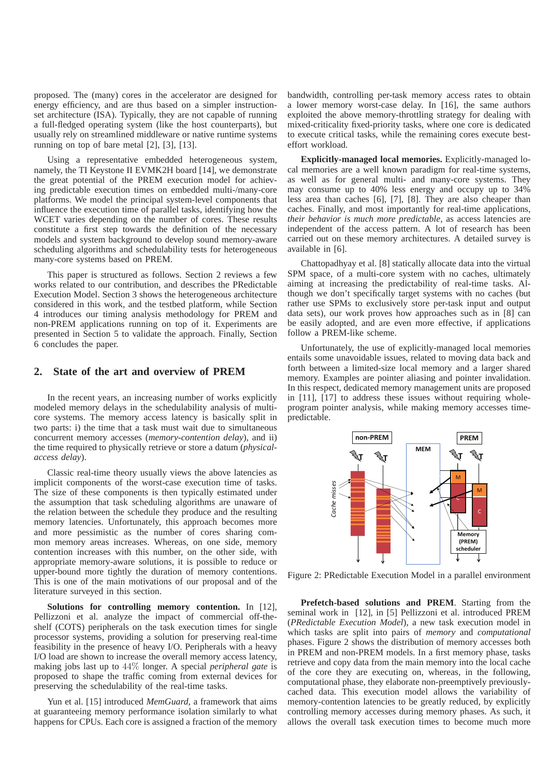proposed. The (many) cores in the accelerator are designed for energy efficiency, and are thus based on a simpler instructionset architecture (ISA). Typically, they are not capable of running a full-fledged operating system (like the host counterparts), but usually rely on streamlined middleware or native runtime systems running on top of bare metal [2], [3], [13].

Using a representative embedded heterogeneous system, namely, the TI Keystone II EVMK2H board [14], we demonstrate the great potential of the PREM execution model for achieving predictable execution times on embedded multi-/many-core platforms. We model the principal system-level components that influence the execution time of parallel tasks, identifying how the WCET varies depending on the number of cores. These results constitute a first step towards the definition of the necessary models and system background to develop sound memory-aware scheduling algorithms and schedulability tests for heterogeneous many-core systems based on PREM.

This paper is structured as follows. Section 2 reviews a few works related to our contribution, and describes the PRedictable Execution Model. Section 3 shows the heterogeneous architecture considered in this work, and the testbed platform, while Section 4 introduces our timing analysis methodology for PREM and non-PREM applications running on top of it. Experiments are presented in Section 5 to validate the approach. Finally, Section 6 concludes the paper.

# **2. State of the art and overview of PREM**

In the recent years, an increasing number of works explicitly modeled memory delays in the schedulability analysis of multicore systems. The memory access latency is basically split in two parts: i) the time that a task must wait due to simultaneous concurrent memory accesses (*memory-contention delay*), and ii) the time required to physically retrieve or store a datum (*physicalaccess delay*).

Classic real-time theory usually views the above latencies as implicit components of the worst-case execution time of tasks. The size of these components is then typically estimated under the assumption that task scheduling algorithms are unaware of the relation between the schedule they produce and the resulting memory latencies. Unfortunately, this approach becomes more and more pessimistic as the number of cores sharing common memory areas increases. Whereas, on one side, memory contention increases with this number, on the other side, with appropriate memory-aware solutions, it is possible to reduce or upper-bound more tightly the duration of memory contentions. This is one of the main motivations of our proposal and of the literature surveyed in this section.

**Solutions for controlling memory contention.** In [12], Pellizzoni et al. analyze the impact of commercial off-theshelf (COTS) peripherals on the task execution times for single processor systems, providing a solution for preserving real-time feasibility in the presence of heavy I/O. Peripherals with a heavy I/O load are shown to increase the overall memory access latency, making jobs last up to 44% longer. A special *peripheral gate* is proposed to shape the traffic coming from external devices for preserving the schedulability of the real-time tasks.

Yun et al. [15] introduced *MemGuard*, a framework that aims at guaranteeing memory performance isolation similarly to what happens for CPUs. Each core is assigned a fraction of the memory bandwidth, controlling per-task memory access rates to obtain a lower memory worst-case delay. In [16], the same authors exploited the above memory-throttling strategy for dealing with mixed-criticality fixed-priority tasks, where one core is dedicated to execute critical tasks, while the remaining cores execute besteffort workload.

**Explicitly-managed local memories.** Explicitly-managed local memories are a well known paradigm for real-time systems, as well as for general multi- and many-core systems. They may consume up to 40% less energy and occupy up to 34% less area than caches [6], [7], [8]. They are also cheaper than caches. Finally, and most importantly for real-time applications, *their behavior is much more predictable*, as access latencies are independent of the access pattern. A lot of research has been carried out on these memory architectures. A detailed survey is available in [6].

Chattopadhyay et al. [8] statically allocate data into the virtual SPM space, of a multi-core system with no caches, ultimately aiming at increasing the predictability of real-time tasks. Although we don't specifically target systems with no caches (but rather use SPMs to exclusively store per-task input and output data sets), our work proves how approaches such as in [8] can be easily adopted, and are even more effective, if applications follow a PREM-like scheme.

Unfortunately, the use of explicitly-managed local memories entails some unavoidable issues, related to moving data back and forth between a limited-size local memory and a larger shared memory. Examples are pointer aliasing and pointer invalidation. In this respect, dedicated memory management units are proposed in [11], [17] to address these issues without requiring wholeprogram pointer analysis, while making memory accesses timepredictable.



Figure 2: PRedictable Execution Model in a parallel environment

**Prefetch-based solutions and PREM**. Starting from the seminal work in [12], in [5] Pellizzoni et al. introduced PREM (*PRedictable Execution Model*), a new task execution model in which tasks are split into pairs of *memory* and *computational* phases. Figure 2 shows the distribution of memory accesses both in PREM and non-PREM models. In a first memory phase, tasks retrieve and copy data from the main memory into the local cache of the core they are executing on, whereas, in the following, computational phase, they elaborate non-preemptively previouslycached data. This execution model allows the variability of memory-contention latencies to be greatly reduced, by explicitly controlling memory accesses during memory phases. As such, it allows the overall task execution times to become much more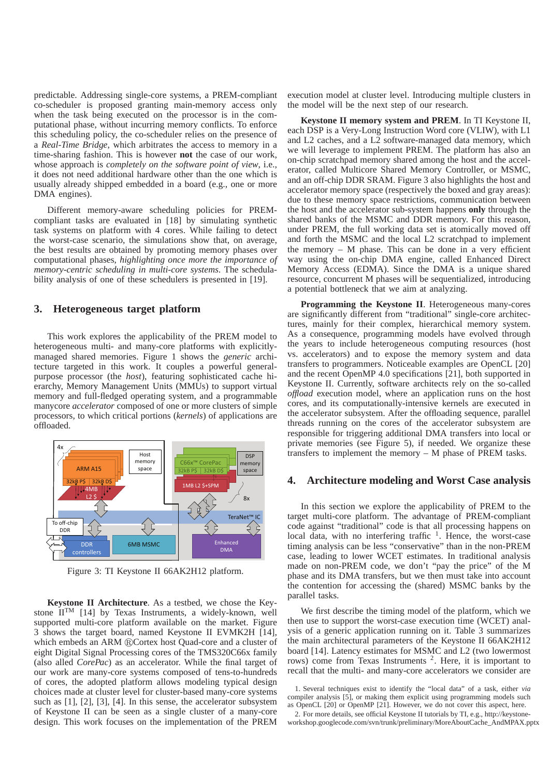predictable. Addressing single-core systems, a PREM-compliant co-scheduler is proposed granting main-memory access only when the task being executed on the processor is in the computational phase, without incurring memory conflicts. To enforce this scheduling policy, the co-scheduler relies on the presence of a *Real-Time Bridge*, which arbitrates the access to memory in a time-sharing fashion. This is however **not** the case of our work, whose approach is *completely on the software point of view*, i.e., it does not need additional hardware other than the one which is usually already shipped embedded in a board (e.g., one or more DMA engines).

Different memory-aware scheduling policies for PREMcompliant tasks are evaluated in [18] by simulating synthetic task systems on platform with 4 cores. While failing to detect the worst-case scenario, the simulations show that, on average, the best results are obtained by promoting memory phases over computational phases, *highlighting once more the importance of memory-centric scheduling in multi-core systems*. The schedulability analysis of one of these schedulers is presented in [19].

## **3. Heterogeneous target platform**

This work explores the applicability of the PREM model to heterogeneous multi- and many-core platforms with explicitlymanaged shared memories. Figure 1 shows the *generic* architecture targeted in this work. It couples a powerful generalpurpose processor (the *host*), featuring sophisticated cache hierarchy, Memory Management Units (MMUs) to support virtual memory and full-fledged operating system, and a programmable manycore *accelerator* composed of one or more clusters of simple processors, to which critical portions (*kernels*) of applications are offloaded.



Figure 3: TI Keystone II 66AK2H12 platform.

**Keystone II Architecture**. As a testbed, we chose the Keystone  $II<sup>TM</sup>$  [14] by Texas Instruments, a widely-known, well supported multi-core platform available on the market. Figure 3 shows the target board, named Keystone II EVMK2H [14], which embeds an ARM ®Cortex host Quad-core and a cluster of eight Digital Signal Processing cores of the TMS320C66x family (also alled *CorePac*) as an accelerator. While the final target of our work are many-core systems composed of tens-to-hundreds of cores, the adopted platform allows modeling typical design choices made at cluster level for cluster-based many-core systems such as [1], [2], [3], [4]. In this sense, the accelerator subsystem of Keystone II can be seen as a single cluster of a many-core design. This work focuses on the implementation of the PREM execution model at cluster level. Introducing multiple clusters in the model will be the next step of our research.

**Keystone II memory system and PREM**. In TI Keystone II, each DSP is a Very-Long Instruction Word core (VLIW), with L1 and L2 caches, and a L2 software-managed data memory, which we will leverage to implement PREM. The platform has also an on-chip scratchpad memory shared among the host and the accelerator, called Multicore Shared Memory Controller, or MSMC, and an off-chip DDR SRAM. Figure 3 also highlights the host and accelerator memory space (respectively the boxed and gray areas): due to these memory space restrictions, communication between the host and the accelerator sub-system happens **only** through the shared banks of the MSMC and DDR memory. For this reason, under PREM, the full working data set is atomically moved off and forth the MSMC and the local L2 scratchpad to implement the memory  $-$  M phase. This can be done in a very efficient way using the on-chip DMA engine, called Enhanced Direct Memory Access (EDMA). Since the DMA is a unique shared resource, concurrent M phases will be sequentialized, introducing a potential bottleneck that we aim at analyzing.

**Programming the Keystone II**. Heterogeneous many-cores are significantly different from "traditional" single-core architectures, mainly for their complex, hierarchical memory system. As a consequence, programming models have evolved through the years to include heterogeneous computing resources (host vs. accelerators) and to expose the memory system and data transfers to programmers. Noticeable examples are OpenCL [20] and the recent OpenMP 4.0 specifications [21], both supported in Keystone II. Currently, software architects rely on the so-called *offload* execution model, where an application runs on the host cores, and its computationally-intensive kernels are executed in the accelerator subsystem. After the offloading sequence, parallel threads running on the cores of the accelerator subsystem are responsible for triggering additional DMA transfers into local or private memories (see Figure 5), if needed. We organize these transfers to implement the memory – M phase of PREM tasks.

### **4. Architecture modeling and Worst Case analysis**

In this section we explore the applicability of PREM to the target multi-core platform. The advantage of PREM-compliant code against "traditional" code is that all processing happens on local data, with no interfering traffic<sup>1</sup>. Hence, the worst-case timing analysis can be less "conservative" than in the non-PREM case, leading to lower WCET estimates. In traditional analysis made on non-PREM code, we don't "pay the price" of the M phase and its DMA transfers, but we then must take into account the contention for accessing the (shared) MSMC banks by the parallel tasks.

We first describe the timing model of the platform, which we then use to support the worst-case execution time (WCET) analysis of a generic application running on it. Table 3 summarizes the main architectural parameters of the Keystone II 66AK2H12 board [14]. Latency estimates for MSMC and L2 (two lowermost rows) come from Texas Instruments <sup>2</sup>. Here, it is important to recall that the multi- and many-core accelerators we consider are

<sup>1.</sup> Several techniques exist to identify the "local data" of a task, either *via* compiler analysis [5], or making them explicit using programming models such as OpenCL [20] or OpenMP [21]. However, we do not cover this aspect, here.

<sup>2.</sup> For more details, see official Keystone II tutorials by TI, e.g., http://keystoneworkshop.googlecode.com/svn/trunk/preliminary/MoreAboutCache\_AndMPAX.pptx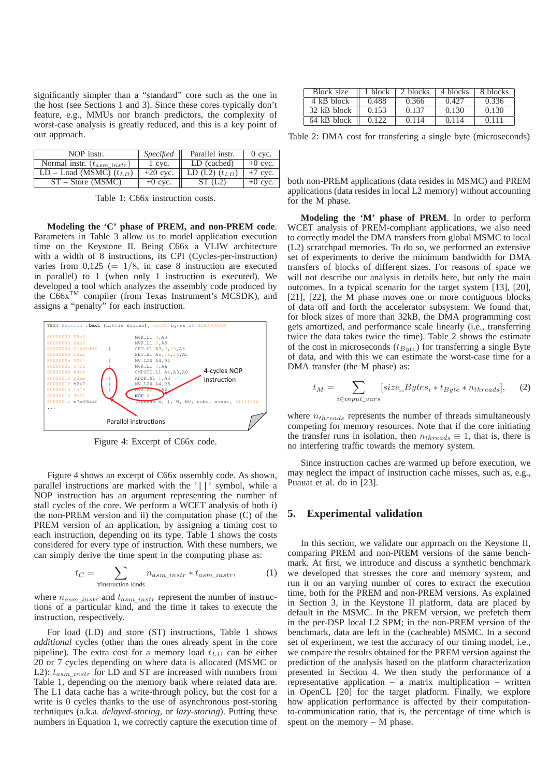significantly simpler than a "standard" core such as the one in the host (see Sections 1 and 3). Since these cores typically don't feature, e.g., MMUs nor branch predictors, the complexity of worst-case analysis is greatly reduced, and this is a key point of our approach.

| NOP instr.                       | <i>Specified</i> | Parallel instr.      | $0$ cyc.  |
|----------------------------------|------------------|----------------------|-----------|
| Normal instr. $(t_{asm\_instr})$ | 1 cvc.           | LD (cached)          | $+0$ cyc. |
| $LD - Load$ (MSMC) $(t_{LD})$    | $+20$ cyc.       | LD $(L2)$ $(t_{LD})$ | $+7$ cyc. |
| $ST - Store (MSMC)$              | $+0$ cyc.        | ST(L2)               | $+0$ cyc. |

Table 1: C66x instruction costs.

**Modeling the 'C' phase of PREM, and non-PREM code**. Parameters in Table 3 allow us to model application execution time on the Keystone II. Being C66x a VLIW architecture with a width of 8 instructions, its CPI (Cycles-per-instruction) varies from  $0,125 (= 1/8, \text{ in case } 8 \text{ instruction are executed})$ in parallel) to 1 (when only 1 instruction is executed). We developed a tool which analyzes the assembly code produced by the Co6x<sup>TM</sup> compiler (from Texas Instrument's MCSDK), and assigns a "penalty" for each instruction.



Figure 4: Excerpt of C66x code.

Figure 4 shows an excerpt of C66x assembly code. As shown, parallel instructions are marked with the '||' symbol, while a NOP instruction has an argument representing the number of stall cycles of the core. We perform a WCET analysis of both i) the non-PREM version and ii) the computation phase (C) of the PREM version of an application, by assigning a timing cost to each instruction, depending on its type. Table 1 shows the costs considered for every type of instruction. With these numbers, we can simply derive the time spent in the computing phase as:

$$
t_C = \sum_{\text{V instruction kinds}} n_{asm\_instr} * t_{asm\_instr}, \tag{1}
$$

where  $n_{asm\_instr}$  and  $t_{asm\_instr}$  represent the number of instructions of a particular kind, and the time it takes to execute the instruction, respectively.

For load (LD) and store (ST) instructions, Table 1 shows *additional* cycles (other than the ones already spent in the core pipeline). The extra cost for a memory load  $t_{LD}$  can be either 20 or 7 cycles depending on where data is allocated (MSMC or L2):  $t_{asm}$  instr for LD and ST are increased with numbers from Table 1, depending on the memory bank where related data are. The L1 data cache has a write-through policy, but the cost for a write is 0 cycles thanks to the use of asynchronous post-storing techniques (a.k.a. *delayed-storing*, or *lazy-storing*). Putting these numbers in Equation 1, we correctly capture the execution time of

| Block size  | $\parallel$ 1 block | 2 blocks | 4 blocks | 8 blocks |
|-------------|---------------------|----------|----------|----------|
| 4 kB block  | 0.488               | 0.366    | 0.427    | 0.336    |
| 32 kB block | 0.153               | 0.137    | 0.130    | 0.130    |
| 64 kB block | 0.122               | 0.114    | 0.114    | 0.111    |

Table 2: DMA cost for transfering a single byte (microseconds)

both non-PREM applications (data resides in MSMC) and PREM applications (data resides in local L2 memory) without accounting for the M phase.

**Modeling the 'M' phase of PREM**. In order to perform WCET analysis of PREM-compliant applications, we also need to correctly model the DMA transfers from global MSMC to local (L2) scratchpad memories. To do so, we performed an extensive set of experiments to derive the minimum bandwidth for DMA transfers of blocks of different sizes. For reasons of space we will not describe our analysis in details here, but only the main outcomes. In a typical scenario for the target system [13], [20], [21], [22], the M phase moves one or more contiguous blocks of data off and forth the accelerator subsystem. We found that, for block sizes of more than 32kB, the DMA programming cost gets amortized, and performance scale linearly (i.e., transferring twice the data takes twice the time). Table 2 shows the estimate of the cost in microseconds  $(t_{Bute})$  for transferring a single Byte of data, and with this we can estimate the worst-case time for a DMA transfer (the M phase) as:

$$
t_M = \sum_{i \in input\_vars} [size\_Bytes_i * t_{Byte} * n_{threads}], \quad (2)
$$

where  $n_{threads}$  represents the number of threads simultaneously competing for memory resources. Note that if the core initiating the transfer runs in isolation, then  $n_{threads} \equiv 1$ , that is, there is no interfering traffic towards the memory system.

Since instruction caches are warmed up before execution, we may neglect the impact of instruction cache misses, such as, e.g., Puauat et al. do in [23].

#### **5. Experimental validation**

In this section, we validate our approach on the Keystone II, comparing PREM and non-PREM versions of the same benchmark. At first, we introduce and discuss a synthetic benchmark we developed that stresses the core and memory system, and run it on an varying number of cores to extract the execution time, both for the PREM and non-PREM versions. As explained in Section 3, in the Keystone II platform, data are placed by default in the MSMC. In the PREM version, we prefetch them in the per-DSP local L2 SPM; in the non-PREM version of the benchmark, data are left in the (cacheable) MSMC. In a second set of experiment, we test the accuracy of our timing model, i.e., we compare the results obtained for the PREM version against the prediction of the analysis based on the platform characterization presented in Section 4. We then study the performance of a representative application – a matrix multiplication – written in OpenCL [20] for the target platform. Finally, we explore how application performance is affected by their computationto-communication ratio, that is, the percentage of time which is spent on the memory – M phase.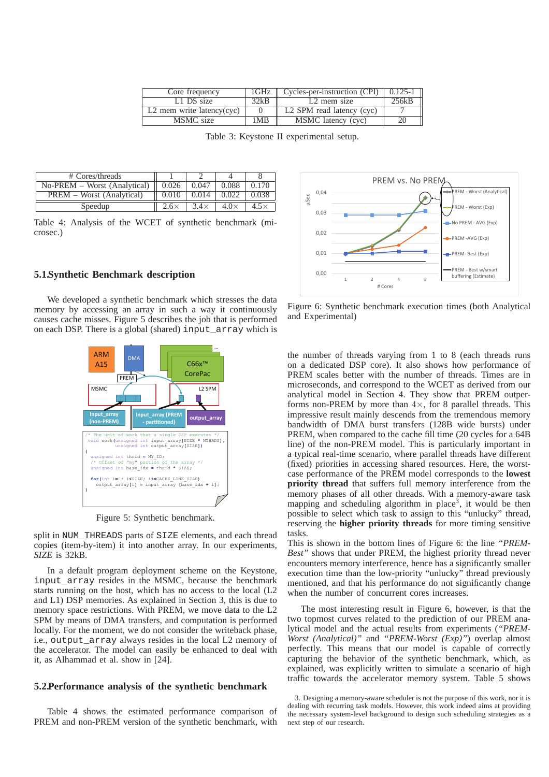| Core frequency                         | 1GHz | Cycles-per-instruction (CPI)          | $0.125 - 1$ |
|----------------------------------------|------|---------------------------------------|-------------|
| L1 D\$ size                            | 32kB | L <sub>2</sub> mem size               | 256kB       |
| $\overline{L2}$ mem write latency(cyc) |      | L <sub>2</sub> SPM read latency (cyc) |             |
| MSMC size                              | 1MB  | MSMC latency (cyc)                    |             |

Table 3: Keystone II experimental setup.

| # Cores/threads              |             |             |             |       |
|------------------------------|-------------|-------------|-------------|-------|
| No-PREM – Worst (Analytical) | 0.026       | 0.047       | 0.088       | 0.170 |
| PREM – Worst (Analytical)    | 0.010       | 0.014       | 0.022       | 0.038 |
| Speedup                      | $2.6\times$ | $3.4\times$ | $4.0\times$ |       |

Table 4: Analysis of the WCET of synthetic benchmark (microsec.)

#### **5.1.Synthetic Benchmark description**

We developed a synthetic benchmark which stresses the data memory by accessing an array in such a way it continuously causes cache misses. Figure 5 describes the job that is performed on each DSP. There is a global (shared) input\_array which is



Figure 5: Synthetic benchmark.

split in NUM\_THREADS parts of SIZE elements, and each thread copies (item-by-item) it into another array. In our experiments, *SIZE* is 32kB.

In a default program deployment scheme on the Keystone, input array resides in the MSMC, because the benchmark starts running on the host, which has no access to the local (L2 and L1) DSP memories. As explained in Section 3, this is due to memory space restrictions. With PREM, we move data to the L2 SPM by means of DMA transfers, and computation is performed locally. For the moment, we do not consider the writeback phase, i.e., output\_array always resides in the local L2 memory of the accelerator. The model can easily be enhanced to deal with it, as Alhammad et al. show in [24].

#### **5.2.Performance analysis of the synthetic benchmark**

Table 4 shows the estimated performance comparison of PREM and non-PREM version of the synthetic benchmark, with



Figure 6: Synthetic benchmark execution times (both Analytical and Experimental)

the number of threads varying from 1 to 8 (each threads runs on a dedicated DSP core). It also shows how performance of PREM scales better with the number of threads. Times are in microseconds, and correspond to the WCET as derived from our analytical model in Section 4. They show that PREM outperforms non-PREM by more than  $4\times$ , for 8 parallel threads. This impressive result mainly descends from the tremendous memory bandwidth of DMA burst transfers (128B wide bursts) under PREM, when compared to the cache fill time (20 cycles for a 64B line) of the non-PREM model. This is particularly important in a typical real-time scenario, where parallel threads have different (fixed) priorities in accessing shared resources. Here, the worstcase performance of the PREM model corresponds to the **lowest priority thread** that suffers full memory interference from the memory phases of all other threads. With a memory-aware task mapping and scheduling algorithm in place<sup>3</sup>, it would be then possible to select which task to assign to this "unlucky" thread, reserving the **higher priority threads** for more timing sensitive tasks.

This is shown in the bottom lines of Figure 6: the line *"PREM-Best"* shows that under PREM, the highest priority thread never encounters memory interference, hence has a significantly smaller execution time than the low-priority "unlucky" thread previously mentioned, and that his performance do not significantly change when the number of concurrent cores increases.

The most interesting result in Figure 6, however, is that the two topmost curves related to the prediction of our PREM analytical model and the actual results from experiments (*"PREM-Worst (Analytical)"* and *"PREM-Worst (Exp)"*) overlap almost perfectly. This means that our model is capable of correctly capturing the behavior of the synthetic benchmark, which, as explained, was explicitly written to simulate a scenario of high traffic towards the accelerator memory system. Table 5 shows

<sup>3.</sup> Designing a memory-aware scheduler is not the purpose of this work, nor it is dealing with recurring task models. However, this work indeed aims at providing the necessary system-level background to design such scheduling strategies as a next step of our research.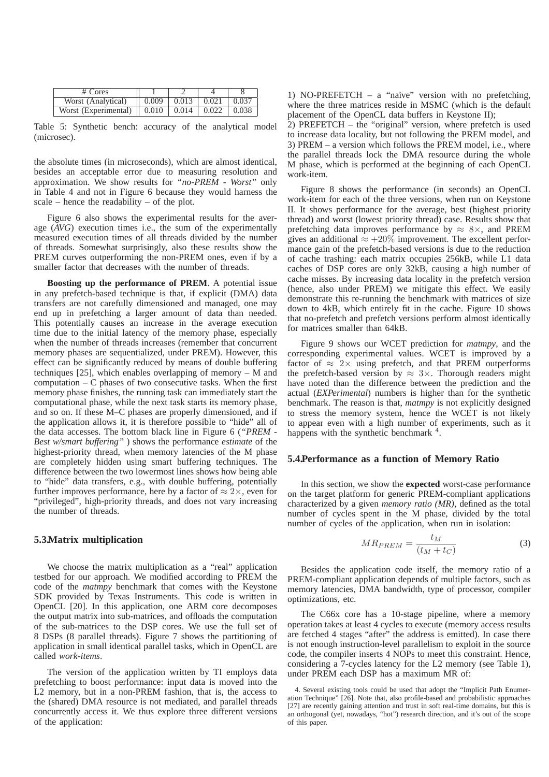| # Cores                                                                    |             |                   |       |
|----------------------------------------------------------------------------|-------------|-------------------|-------|
| Worst (Analytical)                                                         | $\pm 0.009$ | $0.013 \pm 0.021$ | 0.037 |
| Worst (Experimental) $\parallel$ 0.010 $\parallel$ 0.014 $\parallel$ 0.022 |             |                   | 0.038 |

Table 5: Synthetic bench: accuracy of the analytical model (microsec).

the absolute times (in microseconds), which are almost identical, besides an acceptable error due to measuring resolution and approximation. We show results for *"no-PREM - Worst"* only in Table 4 and not in Figure 6 because they would harness the scale – hence the readability – of the plot.

Figure 6 also shows the experimental results for the average (*AVG*) execution times i.e., the sum of the experimentally measured execution times of all threads divided by the number of threads. Somewhat surprisingly, also these results show the PREM curves outperforming the non-PREM ones, even if by a smaller factor that decreases with the number of threads.

**Boosting up the performance of PREM**. A potential issue in any prefetch-based technique is that, if explicit (DMA) data transfers are not carefully dimensioned and managed, one may end up in prefetching a larger amount of data than needed. This potentially causes an increase in the average execution time due to the initial latency of the memory phase, especially when the number of threads increases (remember that concurrent memory phases are sequentialized, under PREM). However, this effect can be significantly reduced by means of double buffering techniques [25], which enables overlapping of memory – M and computation – C phases of two consecutive tasks. When the first memory phase finishes, the running task can immediately start the computational phase, while the next task starts its memory phase, and so on. If these M–C phases are properly dimensioned, and if the application allows it, it is therefore possible to "hide" all of the data accesses. The bottom black line in Figure 6 (*"PREM - Best w/smart buffering"* ) shows the performance *estimate* of the highest-priority thread, when memory latencies of the M phase are completely hidden using smart buffering techniques. The difference between the two lowermost lines shows how being able to "hide" data transfers, e.g., with double buffering, potentially further improves performance, here by a factor of  $\approx 2 \times$ , even for "privileged", high-priority threads, and does not vary increasing the number of threads.

#### **5.3.Matrix multiplication**

We choose the matrix multiplication as a "real" application testbed for our approach. We modified according to PREM the code of the *matmpy* benchmark that comes with the Keystone SDK provided by Texas Instruments. This code is written in OpenCL [20]. In this application, one ARM core decomposes the output matrix into sub-matrices, and offloads the computation of the sub-matrices to the DSP cores. We use the full set of 8 DSPs (8 parallel threads). Figure 7 shows the partitioning of application in small identical parallel tasks, which in OpenCL are called *work-items*.

The version of the application written by TI employs data prefetching to boost performance: input data is moved into the L2 memory, but in a non-PREM fashion, that is, the access to the (shared) DMA resource is not mediated, and parallel threads concurrently access it. We thus explore three different versions of the application:

1) NO-PREFETCH – a "naive" version with no prefetching, where the three matrices reside in MSMC (which is the default placement of the OpenCL data buffers in Keystone II);

2) PREFETCH – the "original" version, where prefetch is used to increase data locality, but not following the PREM model, and 3) PREM – a version which follows the PREM model, i.e., where the parallel threads lock the DMA resource during the whole M phase, which is performed at the beginning of each OpenCL work-item.

Figure 8 shows the performance (in seconds) an OpenCL work-item for each of the three versions, when run on Keystone II. It shows performance for the average, best (highest priority thread) and worst (lowest priority thread) case. Results show that prefetching data improves performance by  $\approx 8 \times$ , and PREM gives an additional  $\approx +20\%$  improvement. The excellent performance gain of the prefetch-based versions is due to the reduction of cache trashing: each matrix occupies 256kB, while L1 data caches of DSP cores are only 32kB, causing a high number of cache misses. By increasing data locality in the prefetch version (hence, also under PREM) we mitigate this effect. We easily demonstrate this re-running the benchmark with matrices of size down to 4kB, which entirely fit in the cache. Figure 10 shows that no-prefetch and prefetch versions perform almost identically for matrices smaller than 64kB.

Figure 9 shows our WCET prediction for *matmpy*, and the corresponding experimental values. WCET is improved by a factor of  $\approx 2 \times$  using prefetch, and that PREM outperforms the prefetch-based version by  $\approx 3 \times$ . Thorough readers might have noted than the difference between the prediction and the actual (*EXPerimental*) numbers is higher than for the synthetic benchmark. The reason is that, *matmpy* is not explicitly designed to stress the memory system, hence the WCET is not likely to appear even with a high number of experiments, such as it happens with the synthetic benchmark <sup>4</sup>.

# **5.4.Performance as a function of Memory Ratio**

In this section, we show the **expected** worst-case performance on the target platform for generic PREM-compliant applications characterized by a given *memory ratio (MR)*, defined as the total number of cycles spent in the M phase, divided by the total number of cycles of the application, when run in isolation:

$$
MR_{PREM} = \frac{t_M}{(t_M + t_C)}
$$
 (3)

Besides the application code itself, the memory ratio of a PREM-compliant application depends of multiple factors, such as memory latencies, DMA bandwidth, type of processor, compiler optimizations, etc.

The C66x core has a 10-stage pipeline, where a memory operation takes at least 4 cycles to execute (memory access results are fetched 4 stages "after" the address is emitted). In case there is not enough instruction-level parallelism to exploit in the source code, the compiler inserts 4 NOPs to meet this constraint. Hence, considering a 7-cycles latency for the L2 memory (see Table 1), under PREM each DSP has a maximum MR of:

<sup>4.</sup> Several existing tools could be used that adopt the "Implicit Path Enumeration Technique" [26]. Note that, also profile-based and probabilistic approaches [27] are recently gaining attention and trust in soft real-time domains, but this is an orthogonal (yet, nowadays, "hot") research direction, and it's out of the scope of this paper.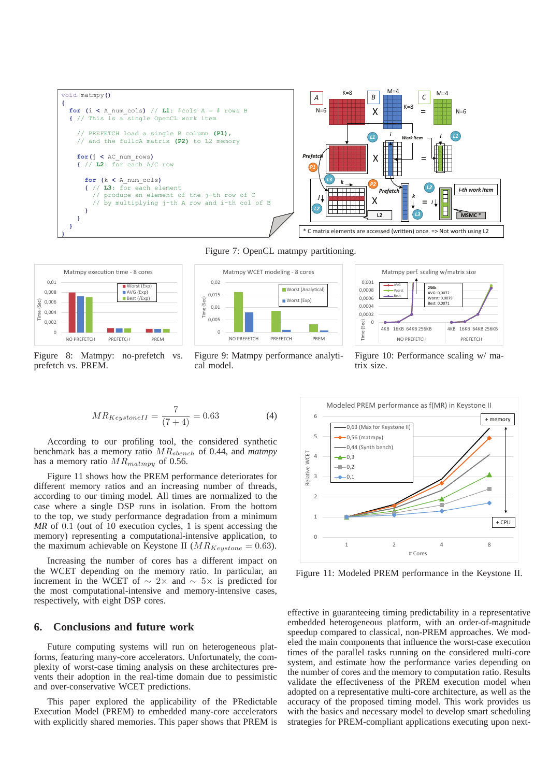



Figure 8: Matmpy: no-prefetch vs. prefetch vs. PREM.

NO PREFETCH PREFETCH PREM

**Contract Contract** 

0

Time (Sec)



Figure 9: Matmpy performance analytical model.



Figure 10: Performance scaling w/ matrix size.

$$
MR_{KeystoneII} = \frac{7}{(7+4)} = 0.63\tag{4}
$$

According to our profiling tool, the considered synthetic benchmark has a memory ratio MRsbench of 0.44, and *matmpy* has a memory ratio  $MR_{matmpy}$  of 0.56.

a a s

Figure 11 shows how the PREM performance deteriorates for different memory ratios and an increasing number of threads, according to our timing model. All times are normalized to the case where a single DSP runs in isolation. From the bottom to the top, we study performance degradation from a minimum *MR* of 0.1 (out of 10 execution cycles, 1 is spent accessing the memory) representing a computational-intensive application, to the maximum achievable on Keystone II ( $MR_{Kevstone} = 0.63$ ).

Increasing the number of cores has a different impact on the WCET depending on the memory ratio. In particular, an increment in the WCET of ∼ 2× and ∼ 5× is predicted for the most computational-intensive and memory-intensive cases, respectively, with eight DSP cores.

# **6. Conclusions and future work**

Future computing systems will run on heterogeneous platforms, featuring many-core accelerators. Unfortunately, the complexity of worst-case timing analysis on these architectures prevents their adoption in the real-time domain due to pessimistic and over-conservative WCET predictions.

This paper explored the applicability of the PRedictable Execution Model (PREM) to embedded many-core accelerators with explicitly shared memories. This paper shows that PREM is



Figure 11: Modeled PREM performance in the Keystone II.

effective in guaranteeing timing predictability in a representative embedded heterogeneous platform, with an order-of-magnitude speedup compared to classical, non-PREM approaches. We modeled the main components that influence the worst-case execution times of the parallel tasks running on the considered multi-core system, and estimate how the performance varies depending on the number of cores and the memory to computation ratio. Results validate the effectiveness of the PREM execution model when adopted on a representative multi-core architecture, as well as the accuracy of the proposed timing model. This work provides us with the basics and necessary model to develop smart scheduling strategies for PREM-compliant applications executing upon next